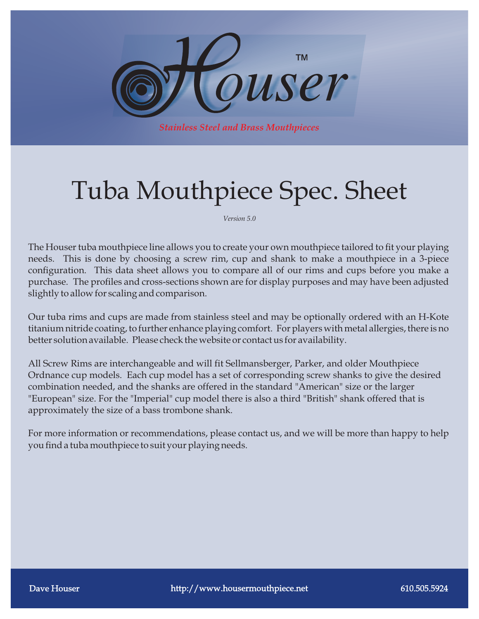

# Tuba Mouthpiece Spec. Sheet

*Version 5.0*

The Houser tuba mouthpiece line allows you to create your own mouthpiece tailored to fit your playing needs. This is done by choosing a screw rim, cup and shank to make a mouthpiece in a 3-piece configuration. This data sheet allows you to compare all of our rims and cups before you make a purchase. The profiles and cross-sections shown are for display purposes and may have been adjusted slightly to allow for scaling and comparison.

Our tuba rims and cups are made from stainless steel and may be optionally ordered with an H-Kote titanium nitride coating, to further enhance playing comfort. For players with metal allergies, there is no better solution available. Please check the website or contact us for availability.

All Screw Rims are interchangeable and will fit Sellmansberger, Parker, and older Mouthpiece Ordnance cup models.Each cup model has a set of corresponding screw shanks to give the desired combination needed, and the shanks are offered in the standard "American" size or the larger "European" size. For the "Imperial" cup model there is also a third "British" shank offered that is approximately the size of a bass trombone shank.

For more information or recommendations, please contact us, and we will be more than happy to help you find a tuba mouthpiece to suit your playing needs.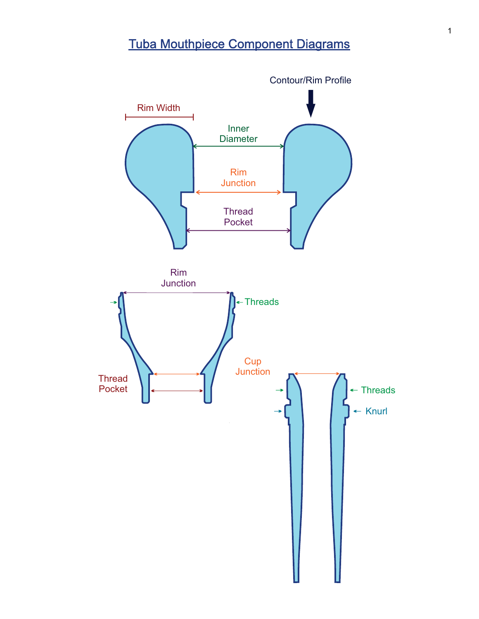## Tuba Mouthpiece Component Diagrams

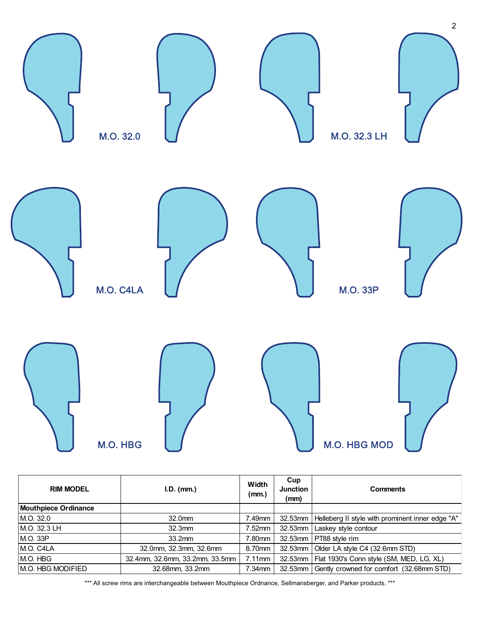

| <b>RIM MODEL</b>            | $I.D.$ (mm.)                   | Width<br>(mm.) | Cup<br><b>Junction</b><br>(mm) | <b>Comments</b>                                    |  |
|-----------------------------|--------------------------------|----------------|--------------------------------|----------------------------------------------------|--|
| <b>Mouthpiece Ordinance</b> |                                |                |                                |                                                    |  |
| M.O. 32.0                   | 32.0mm                         | 7.49mm         | $32.53$ mm                     | Helleberg II style with prominent inner edge "A"   |  |
| M.O. 32.3 LH                | 32.3mm                         | $7.52$ mm      | 32.53mm                        | Laskey style contour                               |  |
| M.O. 33P                    | 33.2mm                         | 7.80mm         |                                | 32.53mm   PT88 style rim                           |  |
| M.O. C4LA                   | 32.0mm, 32.3mm, 32.6mm         |                |                                | 32.53mm   Older LA style C4 (32.6mm STD)           |  |
| M.O. HBG                    | 32.4mm, 32.6mm, 33.2mm, 33.5mm | $7.11$ mm      |                                | 32.53mm   Flat 1930's Conn style (SM, MED, LG, XL) |  |
| <b>M.O. HBG MODIFIED</b>    | 32.68mm, 33.2mm                | $7.34$ mm      | 32.53mm                        | Gently crowned for comfort (32.68mm STD)           |  |

\*\*\* All screw rims are interchangeable between Mouthpiece Ordnance, Sellmansberger, and Parker products. \*\*\*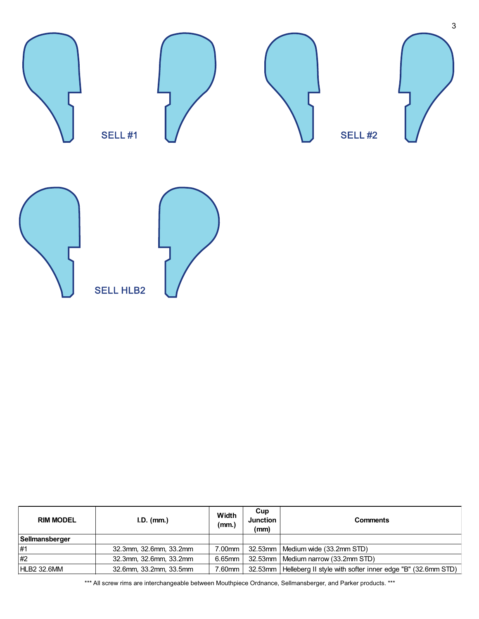

| <b>RIM MODEL</b> | $I.D.$ (mm.)           | Width<br>(mm.) | Cup<br><b>Junction</b><br>(mm) | <b>Comments</b>                                            |
|------------------|------------------------|----------------|--------------------------------|------------------------------------------------------------|
| Sellmansberger   |                        |                |                                |                                                            |
| #1               | 32.3mm, 32.6mm, 33.2mm | 7.00mm         |                                | 32.53mm   Medium wide (33.2mm STD)                         |
| #2               | 32.3mm, 32.6mm, 33.2mm | 6.65mm         |                                | 32.53mm   Medium narrow (33.2mm STD)                       |
| HLB2 32.6MM      | 32.6mm, 33.2mm, 33.5mm | 7.60mm         | 32.53mm                        | Helleberg II style with softer inner edge "B" (32.6mm STD) |

\*\*\* All screw rims are interchangeable between Mouthpiece Ordnance, Sellmansberger, and Parker products. \*\*\*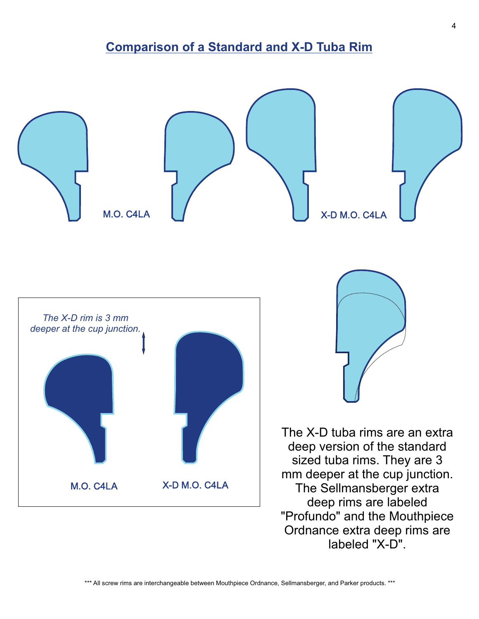### **Comparison of a Standard and X-D Tuba Rim**

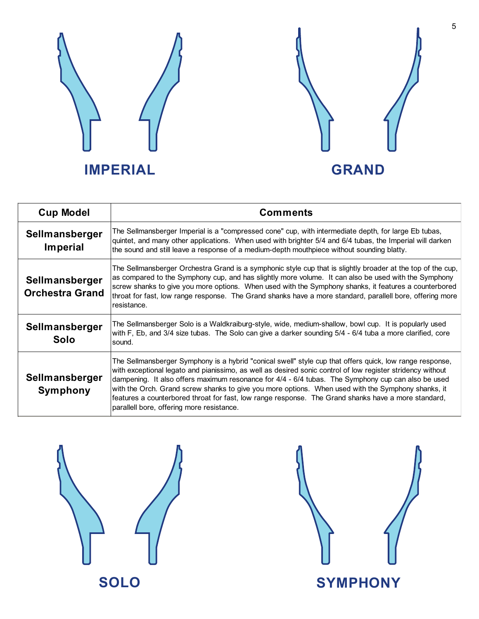



| <b>Cup Model</b>                         | <b>Comments</b>                                                                                                                                                                                                                                                                                                                                                                                                                                                                                                                                                                        |  |  |  |
|------------------------------------------|----------------------------------------------------------------------------------------------------------------------------------------------------------------------------------------------------------------------------------------------------------------------------------------------------------------------------------------------------------------------------------------------------------------------------------------------------------------------------------------------------------------------------------------------------------------------------------------|--|--|--|
| Sellmansberger<br>Imperial               | The Sellmansberger Imperial is a "compressed cone" cup, with intermediate depth, for large Eb tubas,<br>quintet, and many other applications. When used with brighter 5/4 and 6/4 tubas, the Imperial will darken<br>the sound and still leave a response of a medium-depth mouthpiece without sounding blatty.                                                                                                                                                                                                                                                                        |  |  |  |
| Sellmansberger<br><b>Orchestra Grand</b> | The Sellmansberger Orchestra Grand is a symphonic style cup that is slightly broader at the top of the cup,<br>as compared to the Symphony cup, and has slightly more volume. It can also be used with the Symphony<br>screw shanks to give you more options. When used with the Symphony shanks, it features a counterbored<br>throat for fast, low range response. The Grand shanks have a more standard, parallell bore, offering more<br>resistance.                                                                                                                               |  |  |  |
| Sellmansberger<br>Solo                   | The Sellmansberger Solo is a Waldkraiburg-style, wide, medium-shallow, bowl cup. It is popularly used<br>with F, Eb, and 3/4 size tubas. The Solo can give a darker sounding 5/4 - 6/4 tuba a more clarified, core<br>sound.                                                                                                                                                                                                                                                                                                                                                           |  |  |  |
| Sellmansberger<br><b>Symphony</b>        | The Sellmansberger Symphony is a hybrid "conical swell" style cup that offers quick, low range response,<br>with exceptional legato and pianissimo, as well as desired sonic control of low register stridency without<br>dampening. It also offers maximum resonance for 4/4 - 6/4 tubas. The Symphony cup can also be used<br>with the Orch. Grand screw shanks to give you more options. When used with the Symphony shanks, it<br>features a counterbored throat for fast, low range response. The Grand shanks have a more standard,<br>parallell bore, offering more resistance. |  |  |  |



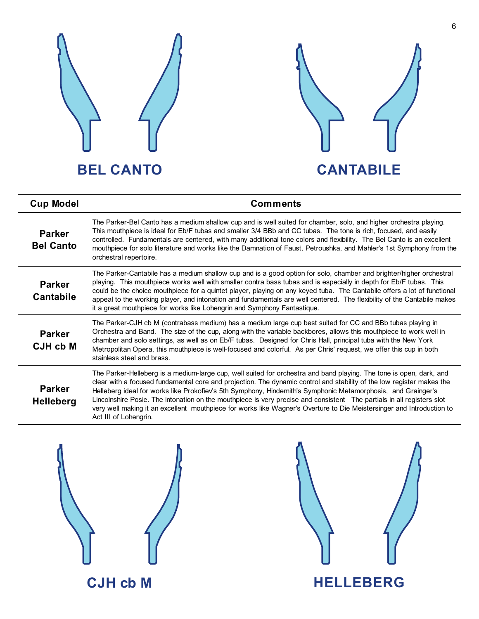



| <b>Cup Model</b>                  | <b>Comments</b>                                                                                                                                                                                                                                                                                                                                                                                                                                                                                                                                                                                                                          |  |  |  |
|-----------------------------------|------------------------------------------------------------------------------------------------------------------------------------------------------------------------------------------------------------------------------------------------------------------------------------------------------------------------------------------------------------------------------------------------------------------------------------------------------------------------------------------------------------------------------------------------------------------------------------------------------------------------------------------|--|--|--|
| <b>Parker</b><br><b>Bel Canto</b> | The Parker-Bel Canto has a medium shallow cup and is well suited for chamber, solo, and higher orchestra playing.<br>This mouthpiece is ideal for Eb/F tubas and smaller 3/4 BBb and CC tubas. The tone is rich, focused, and easily<br>controlled. Fundamentals are centered, with many additional tone colors and flexibility. The Bel Canto is an excellent<br>mouthpiece for solo literature and works like the Damnation of Faust, Petroushka, and Mahler's 1st Symphony from the<br>orchestral repertoire.                                                                                                                         |  |  |  |
| <b>Parker</b><br><b>Cantabile</b> | The Parker-Cantabile has a medium shallow cup and is a good option for solo, chamber and brighter/higher orchestral<br>playing. This mouthpiece works well with smaller contra bass tubas and is especially in depth for Eb/F tubas. This<br>could be the choice mouthpiece for a quintet player, playing on any keyed tuba. The Cantabile offers a lot of functional<br>appeal to the working player, and intonation and fundamentals are well centered. The flexibility of the Cantabile makes<br>it a great mouthpiece for works like Lohengrin and Symphony Fantastique.                                                             |  |  |  |
| <b>Parker</b><br>CJH cb M         | The Parker-CJH cb M (contrabass medium) has a medium large cup best suited for CC and BBb tubas playing in<br>Orchestra and Band. The size of the cup, along with the variable backbores, allows this mouthpiece to work well in<br>chamber and solo settings, as well as on Eb/F tubas. Designed for Chris Hall, principal tuba with the New York<br>Metropolitan Opera, this mouthpiece is well-focused and colorful. As per Chris' request, we offer this cup in both<br>stainless steel and brass.                                                                                                                                   |  |  |  |
| <b>Parker</b><br><b>Helleberg</b> | The Parker-Helleberg is a medium-large cup, well suited for orchestra and band playing. The tone is open, dark, and<br>clear with a focused fundamental core and projection. The dynamic control and stability of the low register makes the<br>Helleberg ideal for works like Prokofiev's 5th Symphony, Hindemith's Symphonic Metamorphosis, and Grainger's<br>Lincolnshire Posie. The intonation on the mouthpiece is very precise and consistent The partials in all registers slot<br>very well making it an excellent mouthpiece for works like Wagner's Overture to Die Meistersinger and Introduction to<br>Act III of Lohengrin. |  |  |  |



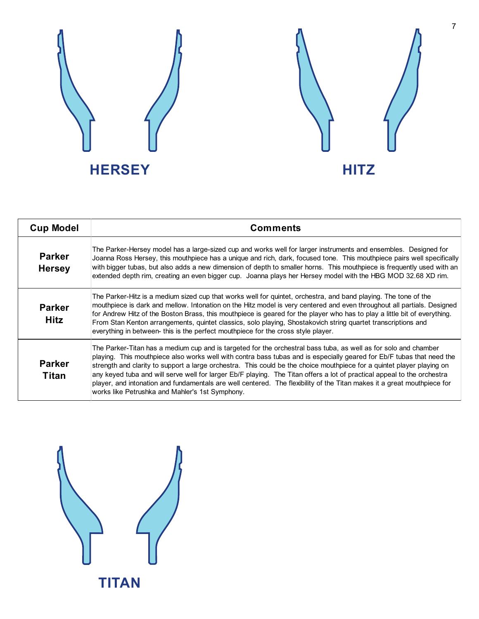



| <b>Cup Model</b>               | <b>Comments</b>                                                                                                                                                                                                                                                                                                                                                                                                                                                                                                                                                                                                                                                             |
|--------------------------------|-----------------------------------------------------------------------------------------------------------------------------------------------------------------------------------------------------------------------------------------------------------------------------------------------------------------------------------------------------------------------------------------------------------------------------------------------------------------------------------------------------------------------------------------------------------------------------------------------------------------------------------------------------------------------------|
| <b>Parker</b><br><b>Hersey</b> | The Parker-Hersey model has a large-sized cup and works well for larger instruments and ensembles. Designed for<br>Joanna Ross Hersey, this mouthpiece has a unique and rich, dark, focused tone. This mouthpiece pairs well specifically<br>with bigger tubas, but also adds a new dimension of depth to smaller horns. This mouthpiece is frequently used with an<br>extended depth rim, creating an even bigger cup. Joanna plays her Hersey model with the HBG MOD 32.68 XD rim.                                                                                                                                                                                        |
| <b>Parker</b><br><b>Hitz</b>   | The Parker-Hitz is a medium sized cup that works well for quintet, orchestra, and band playing. The tone of the<br>mouthpiece is dark and mellow. Intonation on the Hitz model is very centered and even throughout all partials. Designed<br>for Andrew Hitz of the Boston Brass, this mouthpiece is geared for the player who has to play a little bit of everything.<br>From Stan Kenton arrangements, quintet classics, solo playing, Shostakovich string quartet transcriptions and<br>everything in between-this is the perfect mouthpiece for the cross style player.                                                                                                |
| <b>Parker</b><br><b>Titan</b>  | The Parker-Titan has a medium cup and is targeted for the orchestral bass tuba, as well as for solo and chamber<br>playing. This mouthpiece also works well with contra bass tubas and is especially geared for Eb/F tubas that need the<br>strength and clarity to support a large orchestra. This could be the choice mouthpiece for a quintet player playing on<br>any keyed tuba and will serve well for larger Eb/F playing. The Titan offers a lot of practical appeal to the orchestra<br>player, and intonation and fundamentals are well centered. The flexibility of the Titan makes it a great mouthpiece for<br>works like Petrushka and Mahler's 1st Symphony. |

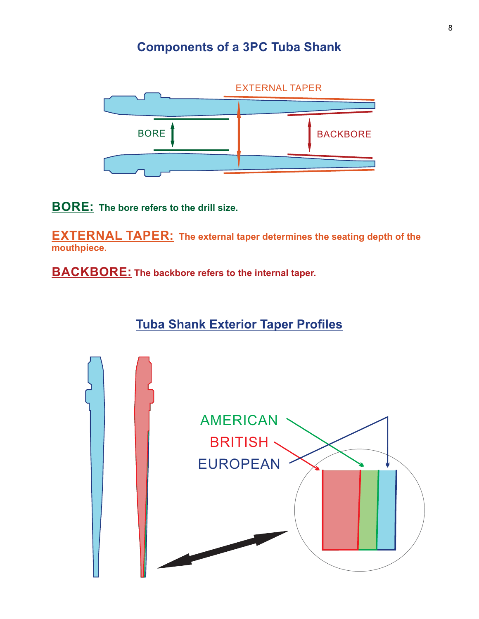### **Components of a 3PC Tuba Shank**



**BORE: The bore refers to the drill size.**

**EXTERNAL TAPER: The external taper determines the seating depth of the mouthpiece.**

**BACKBORE: The backbore refers to the internal taper.**

**Tuba Shank Exterior Taper Profiles**

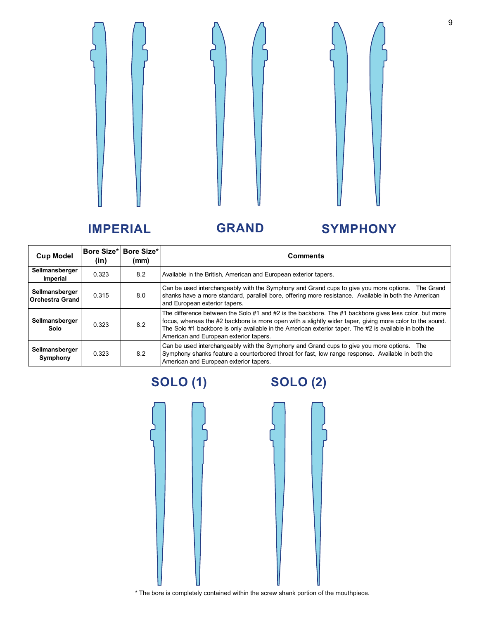

### **IMPERIAL GRAND SYMPHONY**

| <b>Cup Model</b>                  | (in)  | Bore Size*   Bore Size*  <br>(mm) | <b>Comments</b>                                                                                                                                                                                                                                                                                                                                                       |  |
|-----------------------------------|-------|-----------------------------------|-----------------------------------------------------------------------------------------------------------------------------------------------------------------------------------------------------------------------------------------------------------------------------------------------------------------------------------------------------------------------|--|
| Sellmansberger<br>Imperial        | 0.323 | 8.2                               | Available in the British, American and European exterior tapers.                                                                                                                                                                                                                                                                                                      |  |
| Sellmansberger<br>Orchestra Grand | 0.315 | 8.0                               | Can be used interchangeably with the Symphony and Grand cups to give you more options. The Grand<br>shanks have a more standard, parallell bore, offering more resistance. Available in both the American<br>and European exterior tapers.                                                                                                                            |  |
| Sellmansberger<br>Solo            | 0.323 | 8.2                               | The difference between the Solo #1 and #2 is the backbore. The #1 backbore gives less color, but more<br>focus, whereas the #2 backbore is more open with a slightly wider taper, giving more color to the sound.<br>The Solo #1 backbore is only available in the American exterior taper. The #2 is available in both the<br>American and European exterior tapers. |  |
| Sellmansberger<br>Symphony        | 0.323 | 8.2                               | Can be used interchangeably with the Symphony and Grand cups to give you more options. The<br>Symphony shanks feature a counterbored throat for fast, low range response. Available in both the<br>American and European exterior tapers.                                                                                                                             |  |

# **SOLO (1) SOLO (2)**



\* The bore is completely contained within the screw shank portion of the mouthpiece.